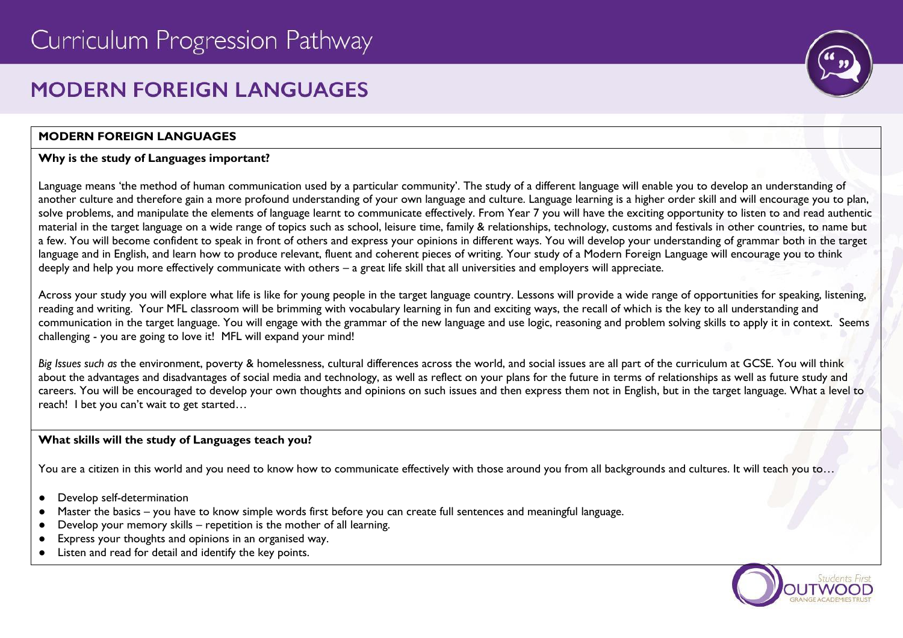# **MODERN FORFIGN I ANGUAGES**

# **MODERN FOREIGN LANGUAGES**

## **Why is the study of Languages important?**

Language means 'the method of human communication used by a particular community'. The study of a different language will enable you to develop an understanding of another culture and therefore gain a more profound understanding of your own language and culture. Language learning is a higher order skill and will encourage you to plan, solve problems, and manipulate the elements of language learnt to communicate effectively. From Year 7 you will have the exciting opportunity to listen to and read authentic material in the target language on a wide range of topics such as school, leisure time, family & relationships, technology, customs and festivals in other countries, to name but a few. You will become confident to speak in front of others and express your opinions in different ways. You will develop your understanding of grammar both in the target language and in English, and learn how to produce relevant, fluent and coherent pieces of writing. Your study of a Modern Foreign Language will encourage you to think deeply and help you more effectively communicate with others – a great life skill that all universities and employers will appreciate.

Across your study you will explore what life is like for young people in the target language country. Lessons will provide a wide range of opportunities for speaking, listening, reading and writing. Your MFL classroom will be brimming with vocabulary learning in fun and exciting ways, the recall of which is the key to all understanding and communication in the target language. You will engage with the grammar of the new language and use logic, reasoning and problem solving skills to apply it in context. Seems challenging - you are going to love it! MFL will expand your mind!

*Big Issues such as* the environment, poverty & homelessness, cultural differences across the world, and social issues are all part of the curriculum at GCSE. You will think about the advantages and disadvantages of social media and technology, as well as reflect on your plans for the future in terms of relationships as well as future study and careers. You will be encouraged to develop your own thoughts and opinions on such issues and then express them not in English, but in the target language. What a level to reach! I bet you can't wait to get started…

# **What skills will the study of Languages teach you?**

You are a citizen in this world and you need to know how to communicate effectively with those around you from all backgrounds and cultures. It will teach you to...

- Develop self-determination
- Master the basics you have to know simple words first before you can create full sentences and meaningful language.
- Develop your memory skills repetition is the mother of all learning.
- Express your thoughts and opinions in an organised way.
- Listen and read for detail and identify the key points.



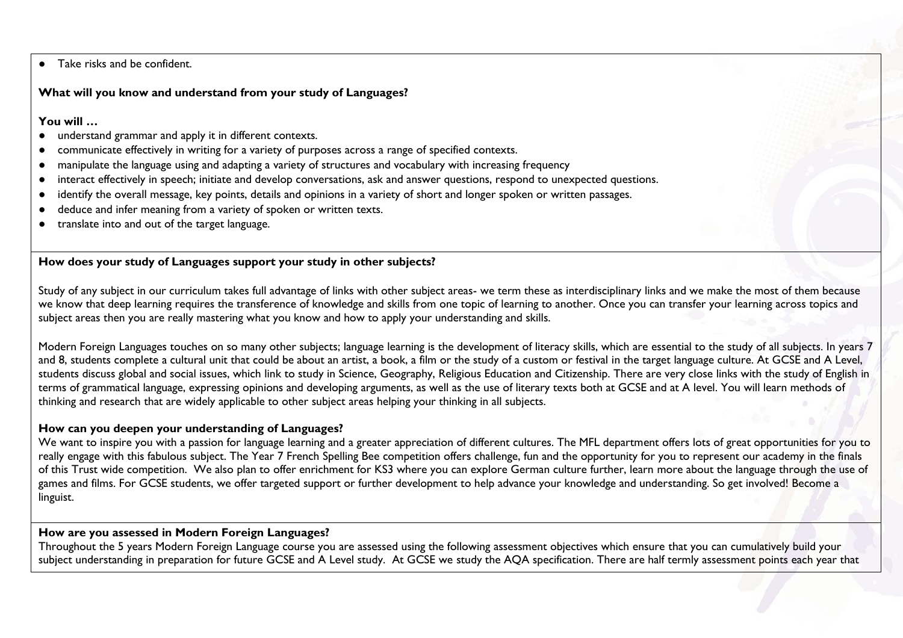● Take risks and be confident.

#### **What will you know and understand from your study of Languages?**

#### **You will …**

- understand grammar and apply it in different contexts.
- communicate effectively in writing for a variety of purposes across a range of specified contexts.
- manipulate the language using and adapting a variety of structures and vocabulary with increasing frequency
- interact effectively in speech; initiate and develop conversations, ask and answer questions, respond to unexpected questions.
- identify the overall message, key points, details and opinions in a variety of short and longer spoken or written passages.
- deduce and infer meaning from a variety of spoken or written texts.
- translate into and out of the target language.

## **How does your study of Languages support your study in other subjects?**

Study of any subject in our curriculum takes full advantage of links with other subject areas- we term these as interdisciplinary links and we make the most of them because we know that deep learning requires the transference of knowledge and skills from one topic of learning to another. Once you can transfer your learning across topics and subject areas then you are really mastering what you know and how to apply your understanding and skills.

Modern Foreign Languages touches on so many other subjects; language learning is the development of literacy skills, which are essential to the study of all subjects. In years 7 and 8, students complete a cultural unit that could be about an artist, a book, a film or the study of a custom or festival in the target language culture. At GCSE and A Level, students discuss global and social issues, which link to study in Science, Geography, Religious Education and Citizenship. There are very close links with the study of English in terms of grammatical language, expressing opinions and developing arguments, as well as the use of literary texts both at GCSE and at A level. You will learn methods of thinking and research that are widely applicable to other subject areas helping your thinking in all subjects.

#### **How can you deepen your understanding of Languages?**

We want to inspire you with a passion for language learning and a greater appreciation of different cultures. The MFL department offers lots of great opportunities for you to really engage with this fabulous subject. The Year 7 French Spelling Bee competition offers challenge, fun and the opportunity for you to represent our academy in the finals of this Trust wide competition. We also plan to offer enrichment for KS3 where you can explore German culture further, learn more about the language through the use of games and films. For GCSE students, we offer targeted support or further development to help advance your knowledge and understanding. So get involved! Become a linguist.

## **How are you assessed in Modern Foreign Languages?**

Throughout the 5 years Modern Foreign Language course you are assessed using the following assessment objectives which ensure that you can cumulatively build your subject understanding in preparation for future GCSE and A Level study. At GCSE we study the AQA specification. There are half termly assessment points each year that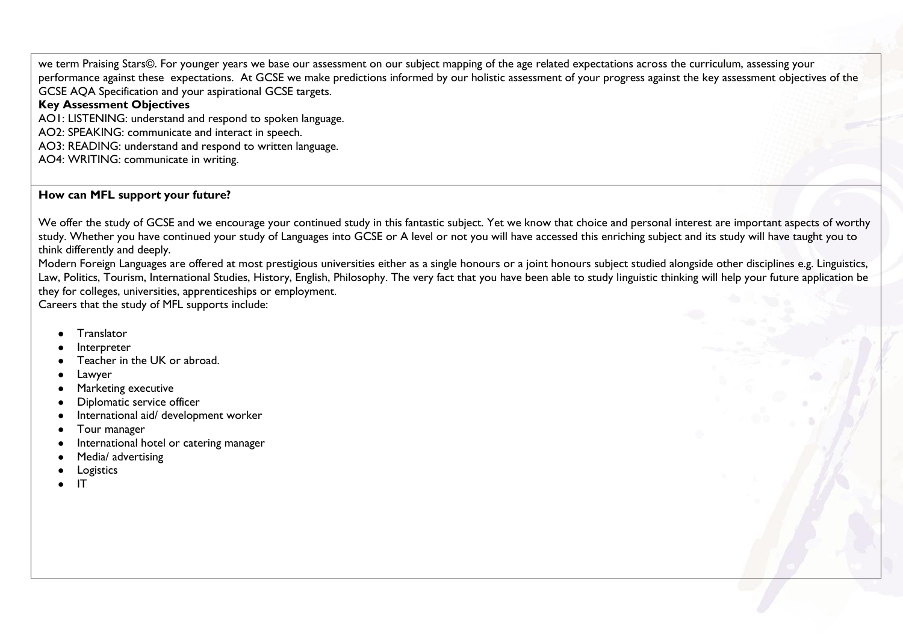we term Praising Stars©. For younger years we base our assessment on our subject mapping of the age related expectations across the curriculum, assessing your performance against these expectations. At GCSE we make predictions informed by our holistic assessment of your progress against the key assessment objectives of the GCSE AQA Specification and your aspirational GCSE targets.

## **Key Assessment Objectives**

AO1: LISTENING: understand and respond to spoken language.

AO2: SPEAKING: communicate and interact in speech.

AO3: READING: understand and respond to written language.

AO4: WRITING: communicate in writing.

## **How can MFL support your future?**

We offer the study of GCSE and we encourage your continued study in this fantastic subject. Yet we know that choice and personal interest are important aspects of worthy study. Whether you have continued your study of Languages into GCSE or A level or not you will have accessed this enriching subject and its study will have taught you to think differently and deeply.

Modern Foreign Languages are offered at most prestigious universities either as a single honours or a joint honours subject studied alongside other disciplines e.g. Linguistics, Law, Politics, Tourism, International Studies, History, English, Philosophy. The very fact that you have been able to study linguistic thinking will help your future application be they for colleges, universities, apprenticeships or employment.

Careers that the study of MFL supports include:

- **Translator**
- **Interpreter**
- Teacher in the UK or abroad.
- Lawyer
- **Marketing executive**
- Diplomatic service officer
- International aid/ development worker
- Tour manager
- International hotel or catering manager
- Media/ advertising
- Logistics
- IT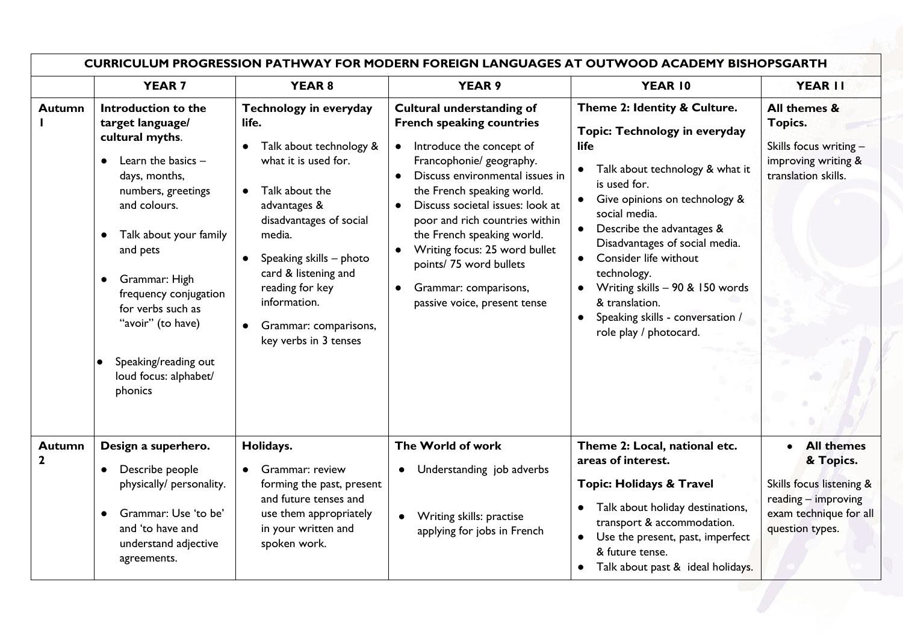|                              | <b>CURRICULUM PROGRESSION PATHWAY FOR MODERN FOREIGN LANGUAGES AT OUTWOOD ACADEMY BISHOPSGARTH</b>                                                                                                                                                                                                                                                                                |                                                                                                                                                                                                                                                                                                   |                                                                                                                                                                                                                                                                                                                                                                                                                                                                                        |                                                                                                                                                                                                                                                                                                                                                                                                                                |                                                                                                                                |  |
|------------------------------|-----------------------------------------------------------------------------------------------------------------------------------------------------------------------------------------------------------------------------------------------------------------------------------------------------------------------------------------------------------------------------------|---------------------------------------------------------------------------------------------------------------------------------------------------------------------------------------------------------------------------------------------------------------------------------------------------|----------------------------------------------------------------------------------------------------------------------------------------------------------------------------------------------------------------------------------------------------------------------------------------------------------------------------------------------------------------------------------------------------------------------------------------------------------------------------------------|--------------------------------------------------------------------------------------------------------------------------------------------------------------------------------------------------------------------------------------------------------------------------------------------------------------------------------------------------------------------------------------------------------------------------------|--------------------------------------------------------------------------------------------------------------------------------|--|
|                              | <b>YEAR 7</b>                                                                                                                                                                                                                                                                                                                                                                     | <b>YEAR 8</b>                                                                                                                                                                                                                                                                                     | <b>YEAR 9</b>                                                                                                                                                                                                                                                                                                                                                                                                                                                                          | YEAR 10                                                                                                                                                                                                                                                                                                                                                                                                                        | YEAR II                                                                                                                        |  |
| <b>Autumn</b>                | Introduction to the<br>target language/<br>cultural myths.<br>Learn the basics -<br>$\bullet$<br>days, months,<br>numbers, greetings<br>and colours.<br>Talk about your family<br>$\bullet$<br>and pets<br>Grammar: High<br>$\bullet$<br>frequency conjugation<br>for verbs such as<br>"avoir" (to have)<br>Speaking/reading out<br>$\bullet$<br>loud focus: alphabet/<br>phonics | Technology in everyday<br>life.<br>Talk about technology &<br>what it is used for.<br>Talk about the<br>advantages &<br>disadvantages of social<br>media.<br>Speaking skills - photo<br>card & listening and<br>reading for key<br>information.<br>Grammar: comparisons,<br>key verbs in 3 tenses | <b>Cultural understanding of</b><br><b>French speaking countries</b><br>Introduce the concept of<br>$\bullet$<br>Francophonie/ geography.<br>Discuss environmental issues in<br>$\bullet$<br>the French speaking world.<br>Discuss societal issues: look at<br>$\bullet$<br>poor and rich countries within<br>the French speaking world.<br>Writing focus: 25 word bullet<br>$\bullet$<br>points/75 word bullets<br>Grammar: comparisons,<br>$\bullet$<br>passive voice, present tense | Theme 2: Identity & Culture.<br>Topic: Technology in everyday<br>life<br>Talk about technology & what it<br>$\bullet$<br>is used for.<br>Give opinions on technology &<br>social media.<br>Describe the advantages &<br>Disadvantages of social media.<br>Consider life without<br>$\bullet$<br>technology.<br>Writing skills - 90 & 150 words<br>& translation.<br>Speaking skills - conversation /<br>role play / photocard. | All themes &<br>Topics.<br>Skills focus writing -<br>improving writing &<br>translation skills.                                |  |
| <b>Autumn</b><br>$\mathbf 2$ | Design a superhero.<br>Describe people<br>$\bullet$<br>physically/ personality.<br>Grammar: Use 'to be'<br>and 'to have and<br>understand adjective<br>agreements.                                                                                                                                                                                                                | Holidays.<br>Grammar: review<br>forming the past, present<br>and future tenses and<br>use them appropriately<br>in your written and<br>spoken work.                                                                                                                                               | The World of work<br>Understanding job adverbs<br>Writing skills: practise<br>$\bullet$<br>applying for jobs in French                                                                                                                                                                                                                                                                                                                                                                 | Theme 2: Local, national etc.<br>areas of interest.<br><b>Topic: Holidays &amp; Travel</b><br>Talk about holiday destinations,<br>transport & accommodation.<br>Use the present, past, imperfect<br>& future tense.<br>Talk about past & ideal holidays.<br>$\bullet$                                                                                                                                                          | <b>All themes</b><br>& Topics.<br>Skills focus listening &<br>reading - improving<br>exam technique for all<br>question types. |  |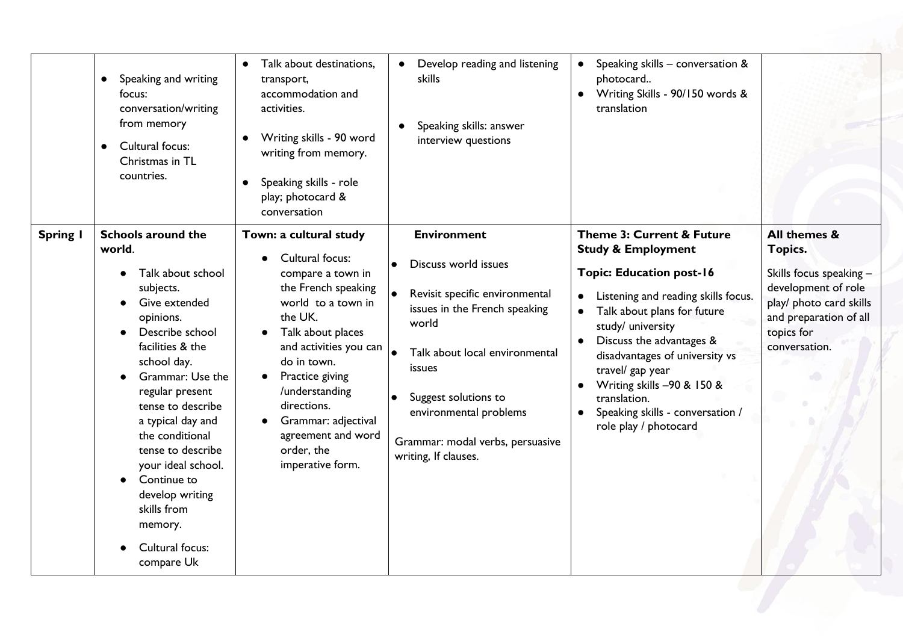| Speaking and writing<br>$\bullet$<br>focus:<br>conversation/writing<br>from memory<br>Cultural focus:<br>$\bullet$<br>Christmas in TL<br>countries.                                                                                                                                                                                                                                                                            | Talk about destinations,<br>transport,<br>accommodation and<br>activities.<br>Writing skills - 90 word<br>writing from memory.<br>Speaking skills - role<br>$\bullet$<br>play; photocard &<br>conversation                                                                                                              | Develop reading and listening<br><b>skills</b><br>Speaking skills: answer<br>$\bullet$<br>interview questions                                                                                                                                                                                              | Speaking skills - conversation &<br>$\bullet$<br>photocard<br>Writing Skills - 90/150 words &<br>$\bullet$<br>translation                                                                                                                                                                                                                                                                                                               |                                                                                                                                                               |
|--------------------------------------------------------------------------------------------------------------------------------------------------------------------------------------------------------------------------------------------------------------------------------------------------------------------------------------------------------------------------------------------------------------------------------|-------------------------------------------------------------------------------------------------------------------------------------------------------------------------------------------------------------------------------------------------------------------------------------------------------------------------|------------------------------------------------------------------------------------------------------------------------------------------------------------------------------------------------------------------------------------------------------------------------------------------------------------|-----------------------------------------------------------------------------------------------------------------------------------------------------------------------------------------------------------------------------------------------------------------------------------------------------------------------------------------------------------------------------------------------------------------------------------------|---------------------------------------------------------------------------------------------------------------------------------------------------------------|
| <b>Schools around the</b><br>Spring I<br>world.<br>Talk about school<br>subjects.<br>Give extended<br>opinions.<br>Describe school<br>facilities & the<br>school day.<br>Grammar: Use the<br>regular present<br>tense to describe<br>a typical day and<br>the conditional<br>tense to describe<br>your ideal school.<br>Continue to<br>$\bullet$<br>develop writing<br>skills from<br>memory.<br>Cultural focus:<br>compare Uk | Town: a cultural study<br>Cultural focus:<br>compare a town in<br>the French speaking<br>world to a town in<br>the UK.<br>Talk about places<br>and activities you can<br>do in town.<br>Practice giving<br>/understanding<br>directions.<br>Grammar: adjectival<br>agreement and word<br>order, the<br>imperative form. | <b>Environment</b><br>Discuss world issues<br>$\bullet$<br>Revisit specific environmental<br>issues in the French speaking<br>world<br>Talk about local environmental<br>issues<br>Suggest solutions to<br>$\bullet$<br>environmental problems<br>Grammar: modal verbs, persuasive<br>writing, If clauses. | <b>Theme 3: Current &amp; Future</b><br><b>Study &amp; Employment</b><br><b>Topic: Education post-16</b><br>Listening and reading skills focus.<br>$\bullet$<br>Talk about plans for future<br>study/ university<br>Discuss the advantages &<br>$\bullet$<br>disadvantages of university vs<br>travel/ gap year<br>Writing skills -90 & 150 &<br>translation.<br>Speaking skills - conversation /<br>$\bullet$<br>role play / photocard | All themes &<br>Topics.<br>Skills focus speaking -<br>development of role<br>play/ photo card skills<br>and preparation of all<br>topics for<br>conversation. |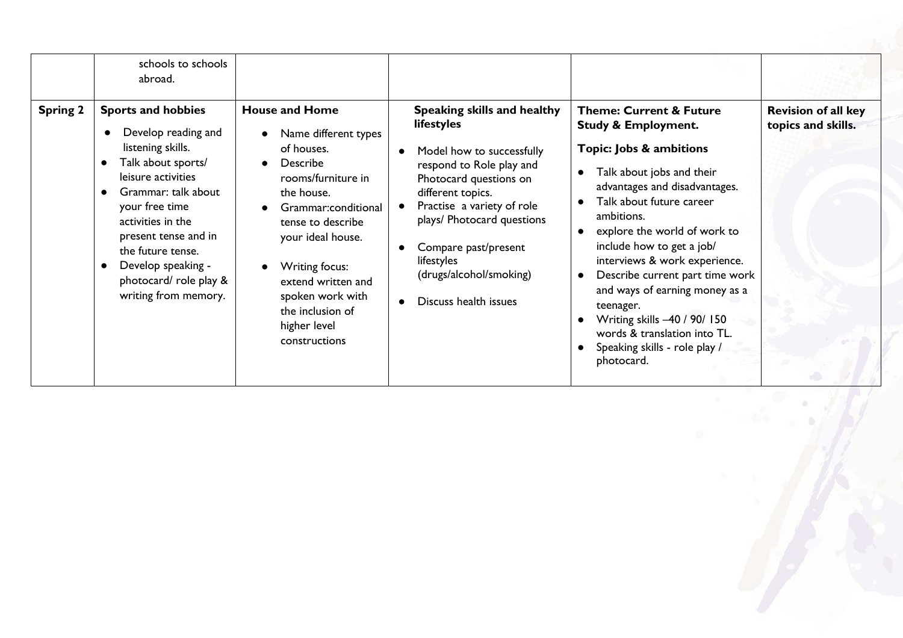|                 | schools to schools<br>abroad.                                                                                                                                                                                                                                                                                    |                                                                                                                                                                                                                                                                                                                         |                                                                                                                                                                                                                                                                                                                                                |                                                                                                                                                                                                                                                                                                                                                                                                                                                                                                                                  |                                                  |
|-----------------|------------------------------------------------------------------------------------------------------------------------------------------------------------------------------------------------------------------------------------------------------------------------------------------------------------------|-------------------------------------------------------------------------------------------------------------------------------------------------------------------------------------------------------------------------------------------------------------------------------------------------------------------------|------------------------------------------------------------------------------------------------------------------------------------------------------------------------------------------------------------------------------------------------------------------------------------------------------------------------------------------------|----------------------------------------------------------------------------------------------------------------------------------------------------------------------------------------------------------------------------------------------------------------------------------------------------------------------------------------------------------------------------------------------------------------------------------------------------------------------------------------------------------------------------------|--------------------------------------------------|
| <b>Spring 2</b> | <b>Sports and hobbies</b><br>Develop reading and<br>listening skills.<br>Talk about sports/<br>leisure activities<br>Grammar: talk about<br>your free time<br>activities in the<br>present tense and in<br>the future tense.<br>Develop speaking -<br>$\bullet$<br>photocard/role play &<br>writing from memory. | <b>House and Home</b><br>Name different types<br>of houses.<br>Describe<br>$\bullet$<br>rooms/furniture in<br>the house.<br>Grammar:conditional<br>tense to describe<br>your ideal house.<br>Writing focus:<br>$\bullet$<br>extend written and<br>spoken work with<br>the inclusion of<br>higher level<br>constructions | Speaking skills and healthy<br>lifestyles<br>Model how to successfully<br>$\bullet$<br>respond to Role play and<br>Photocard questions on<br>different topics.<br>Practise a variety of role<br>plays/ Photocard questions<br>Compare past/present<br>$\bullet$<br>lifestyles<br>(drugs/alcohol/smoking)<br>Discuss health issues<br>$\bullet$ | <b>Theme: Current &amp; Future</b><br><b>Study &amp; Employment.</b><br>Topic: Jobs & ambitions<br>Talk about jobs and their<br>$\bullet$<br>advantages and disadvantages.<br>Talk about future career<br>ambitions.<br>explore the world of work to<br>include how to get a job/<br>interviews & work experience.<br>Describe current part time work<br>$\bullet$<br>and ways of earning money as a<br>teenager.<br>Writing skills -40 / 90/ 150<br>words & translation into TL.<br>Speaking skills - role play /<br>photocard. | <b>Revision of all key</b><br>topics and skills. |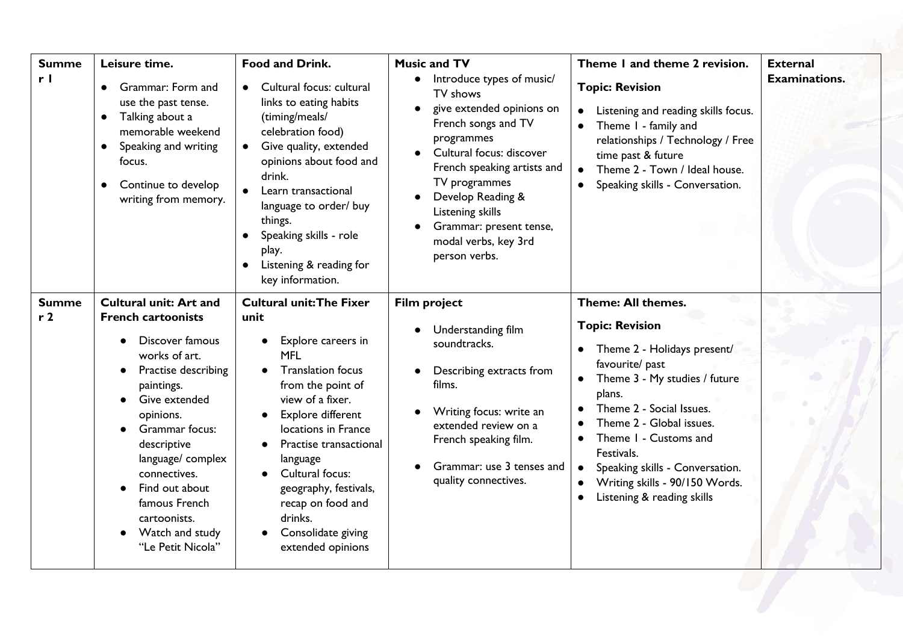| <b>Summe</b><br>r <sub>l</sub> | Leisure time.<br><b>Grammar: Form and</b><br>use the past tense.<br>Talking about a<br>$\bullet$<br>memorable weekend<br>Speaking and writing<br>$\bullet$<br>focus.<br>Continue to develop<br>$\bullet$<br>writing from memory.                                                                                                                | <b>Food and Drink.</b><br>Cultural focus: cultural<br>links to eating habits<br>(timing/meals/<br>celebration food)<br>Give quality, extended<br>$\bullet$<br>opinions about food and<br>drink.<br>Learn transactional<br>language to order/ buy<br>things.<br>Speaking skills - role<br>play.<br>Listening & reading for<br>$\bullet$<br>key information.                          | <b>Music and TV</b><br>Introduce types of music/<br>$\bullet$<br>TV shows<br>give extended opinions on<br>French songs and TV<br>programmes<br>Cultural focus: discover<br>French speaking artists and<br>TV programmes<br>Develop Reading &<br>Listening skills<br>Grammar: present tense,<br>modal verbs, key 3rd<br>person verbs. | Theme I and theme 2 revision.<br><b>Topic: Revision</b><br>Listening and reading skills focus.<br>Theme I - family and<br>$\bullet$<br>relationships / Technology / Free<br>time past & future<br>Theme 2 - Town / Ideal house.<br>Speaking skills - Conversation.                                                                                                    | <b>External</b><br><b>Examinations.</b> |
|--------------------------------|-------------------------------------------------------------------------------------------------------------------------------------------------------------------------------------------------------------------------------------------------------------------------------------------------------------------------------------------------|-------------------------------------------------------------------------------------------------------------------------------------------------------------------------------------------------------------------------------------------------------------------------------------------------------------------------------------------------------------------------------------|--------------------------------------------------------------------------------------------------------------------------------------------------------------------------------------------------------------------------------------------------------------------------------------------------------------------------------------|-----------------------------------------------------------------------------------------------------------------------------------------------------------------------------------------------------------------------------------------------------------------------------------------------------------------------------------------------------------------------|-----------------------------------------|
| <b>Summe</b><br>r <sub>2</sub> | <b>Cultural unit: Art and</b><br><b>French cartoonists</b><br>Discover famous<br>works of art.<br>Practise describing<br>paintings.<br>Give extended<br>opinions.<br>Grammar focus:<br>descriptive<br>language/ complex<br>connectives.<br>Find out about<br>famous French<br>cartoonists.<br>Watch and study<br>$\bullet$<br>"Le Petit Nicola" | <b>Cultural unit: The Fixer</b><br>unit<br>Explore careers in<br>$\bullet$<br><b>MFL</b><br><b>Translation focus</b><br>from the point of<br>view of a fixer.<br>Explore different<br>$\bullet$<br>locations in France<br>Practise transactional<br>language<br>Cultural focus:<br>geography, festivals,<br>recap on food and<br>drinks.<br>Consolidate giving<br>extended opinions | <b>Film project</b><br>Understanding film<br>soundtracks.<br>Describing extracts from<br>films.<br>Writing focus: write an<br>extended review on a<br>French speaking film.<br>Grammar: use 3 tenses and<br>quality connectives.                                                                                                     | Theme: All themes.<br><b>Topic: Revision</b><br>Theme 2 - Holidays present/<br>favourite/ past<br>Theme 3 - My studies / future<br>plans.<br>Theme 2 - Social Issues.<br>Theme 2 - Global issues.<br>Theme I - Customs and<br>Festivals.<br>Speaking skills - Conversation.<br>Writing skills - 90/150 Words.<br>$\bullet$<br>Listening & reading skills<br>$\bullet$ |                                         |